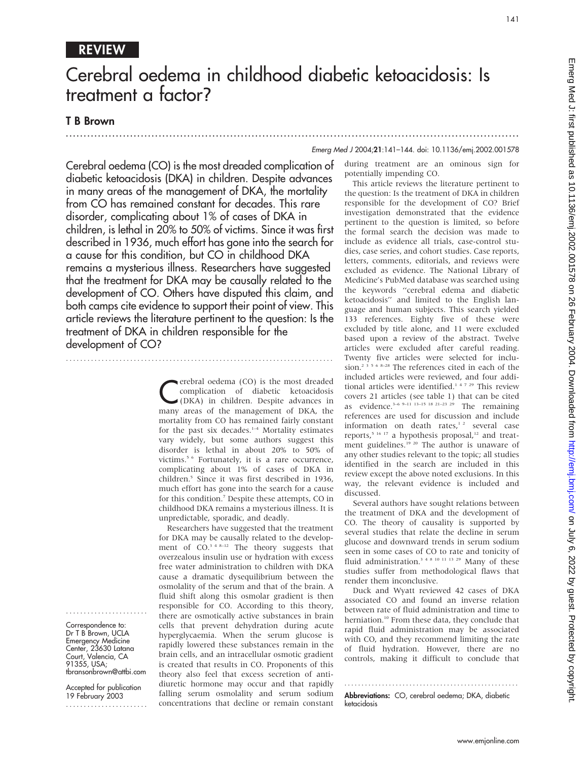# REVIEW

# Cerebral oedema in childhood diabetic ketoacidosis: Is treatment a factor?

.............................................................................................................................. .

## T B Brown

....................... Correspondence to: Dr T B Brown, UCLA Emergency Medicine Center, 23630 Latana Court, Valencia, CA 91355, USA;

tbransonbrown@attbi.com Accepted for publication 19 February 2003 .......................

### Emerg Med J 2004;21:141–144. doi: 10.1136/emj.2002.001578

Cerebral oedema (CO) is the most dreaded complication of diabetic ketoacidosis (DKA) in children. Despite advances in many areas of the management of DKA, the mortality from CO has remained constant for decades. This rare disorder, complicating about 1% of cases of DKA in children, is lethal in 20% to 50% of victims. Since it was first described in 1936, much effort has gone into the search for a cause for this condition, but CO in childhood DKA remains a mysterious illness. Researchers have suggested that the treatment for DKA may be causally related to the development of CO. Others have disputed this claim, and both camps cite evidence to support their point of view. This article reviews the literature pertinent to the question: Is the treatment of DKA in children responsible for the development of CO?

...........................................................................

**C**erebral oedema (CO) is the most dreaded<br>complication of diabetic ketoacidosis<br>(DKA) in children. Despite advances in complication of diabetic ketoacidosis (DKA) in children. Despite advances in many areas of the management of DKA, the mortality from CO has remained fairly constant for the past six decades.<sup>1-4</sup> Mortality estimates vary widely, but some authors suggest this disorder is lethal in about 20% to 50% of victims.<sup>5 6</sup> Fortunately, it is a rare occurrence, complicating about 1% of cases of DKA in children.5 Since it was first described in 1936, much effort has gone into the search for a cause for this condition.7 Despite these attempts, CO in childhood DKA remains a mysterious illness. It is unpredictable, sporadic, and deadly.

Researchers have suggested that the treatment for DKA may be causally related to the development of  $CO<sup>3</sup>$ <sup>4 8–12</sup> The theory suggests that overzealous insulin use or hydration with excess free water administration to children with DKA cause a dramatic dysequilibrium between the osmolality of the serum and that of the brain. A fluid shift along this osmolar gradient is then responsible for CO. According to this theory, there are osmotically active substances in brain cells that prevent dehydration during acute hyperglycaemia. When the serum glucose is rapidly lowered these substances remain in the brain cells, and an intracellular osmotic gradient is created that results in CO. Proponents of this theory also feel that excess secretion of antidiuretic hormone may occur and that rapidly falling serum osmolality and serum sodium concentrations that decline or remain constant during treatment are an ominous sign for potentially impending CO.

This article reviews the literature pertinent to the question: Is the treatment of DKA in children responsible for the development of CO? Brief investigation demonstrated that the evidence pertinent to the question is limited, so before the formal search the decision was made to include as evidence all trials, case-control studies, case series, and cohort studies. Case reports, letters, comments, editorials, and reviews were excluded as evidence. The National Library of Medicine's PubMed database was searched using the keywords ''cerebral edema and diabetic ketoacidosis'' and limited to the English language and human subjects. This search yielded 133 references. Eighty five of these were excluded by title alone, and 11 were excluded based upon a review of the abstract. Twelve articles were excluded after careful reading. Twenty five articles were selected for inclusion.<sup>2</sup>  $356$   $8-28$  The references cited in each of the included articles were reviewed, and four additional articles were identified.<sup>14729</sup> This review covers 21 articles (see table 1) that can be cited as evidence.<sup>3–6 9–11</sup> <sup>13–15</sup> <sup>18 21–23 29</sup> The remaining references are used for discussion and include information on death rates, $12$  several case reports,<sup>5 16 17</sup> a hypothesis proposal,<sup>12</sup> and treatment guidelines.<sup>19 20</sup> The author is unaware of any other studies relevant to the topic; all studies identified in the search are included in this review except the above noted exclusions. In this way, the relevant evidence is included and discussed.

Several authors have sought relations between the treatment of DKA and the development of CO. The theory of causality is supported by several studies that relate the decline in serum glucose and downward trends in serum sodium seen in some cases of CO to rate and tonicity of fluid administration.<sup>3 4 8 10 11 13 29</sup> Many of these studies suffer from methodological flaws that render them inconclusive.

Duck and Wyatt reviewed 42 cases of DKA associated CO and found an inverse relation between rate of fluid administration and time to herniation.<sup>10</sup> From these data, they conclude that rapid fluid administration may be associated with CO, and they recommend limiting the rate of fluid hydration. However, there are no controls, making it difficult to conclude that

................................................... Abbreviations: CO, cerebral oedema: DKA, diabetic ketacidosis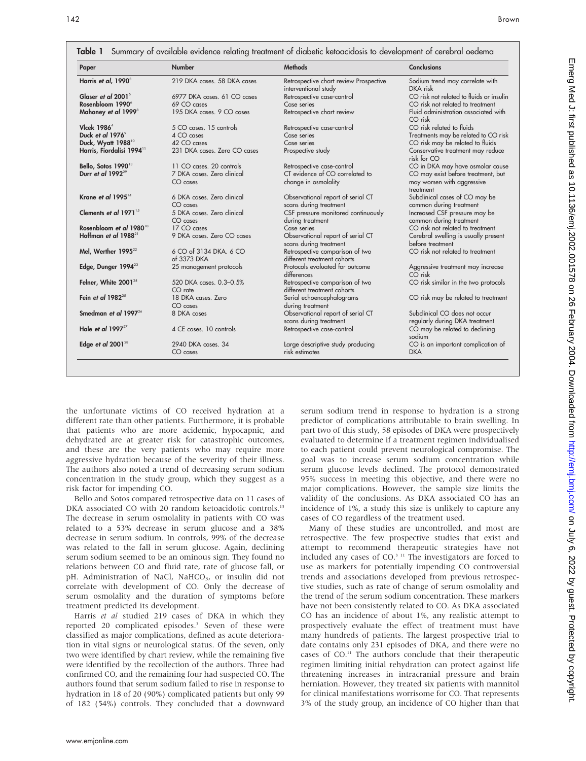| Paper                                 | <b>Number</b>                         | <b>Methods</b>                                                 | <b>Conclusions</b>                                       |
|---------------------------------------|---------------------------------------|----------------------------------------------------------------|----------------------------------------------------------|
| Harris et al, 1990 <sup>3</sup>       | 219 DKA cases, 58 DKA cases           | Retrospective chart review Prospective<br>interventional study | Sodium trend may correlate with<br>DKA risk              |
| Glaser et al 2001 <sup>5</sup>        | 6977 DKA cases, 61 CO cases           | Retrospective case-control                                     | CO risk not related to fluids or insulin                 |
| Rosenbloom 1990 <sup>6</sup>          | 69 CO cases                           | Case series                                                    | CO risk not related to treatment                         |
| Mahoney et al 1999 <sup>8</sup>       | 195 DKA cases. 9 CO cases             | Retrospective chart review                                     | Fluid administration associated with<br>CO risk          |
| Vlcek 1986 $4$                        | 5 CO cases. 15 controls               | Retrospective case-control                                     | CO risk related to fluids                                |
| Duck et al 1976 <sup>9</sup>          | 4 CO cases                            | Case series                                                    | Treatments may be related to CO risk                     |
| Duck, Wyatt 1988 <sup>10</sup>        | 42 CO cases                           | Case series                                                    | CO risk may be related to fluids                         |
| Harris, Fiordalisi 1994 <sup>11</sup> | 231 DKA cases. Zero CO cases          | Prospective study                                              | Conservative treatment may reduce<br>risk for CO         |
| Bello, Sotos 1990 <sup>13</sup>       | 11 CO cases. 20 controls              | Retrospective case-control                                     | CO in DKA may have osmolar cause                         |
| Durr et al 1992 <sup>29</sup>         | 7 DKA cases. Zero clinical            | CT evidence of CO correlated to                                | CO may exist before treatment, but                       |
|                                       | $CO \; \text{cases}$                  | change in osmolality                                           | may worsen with aggressive<br>treatment                  |
| Krane et al 1995 $^{14}$              | 6 DKA cases. Zero clinical            | Observational report of serial CT                              | Subclinical cases of CO may be                           |
|                                       | CO cases                              | scans during treatment                                         | common during treatment                                  |
| Clements et al 1971 <sup>15</sup>     | 5 DKA cases. Zero clinical            | CSF pressure monitored continuously                            | Increased CSF pressure may be                            |
|                                       | $CO \; \text{cases}$                  | during treatment                                               | common during treatment                                  |
| Rosenbloom et al 1980 <sup>18</sup>   | 17 CO cases                           | Case series                                                    | CO risk not related to treatment                         |
| Hoffman et al 1988 <sup>21</sup>      | 9 DKA cases. Zero CO cases            | Observational report of serial CT<br>scans during treatment    | Cerebral swelling is usually present<br>before treatment |
| Mel, Werther $1995^{22}$              | 6 CO of 3134 DKA. 6 CO<br>of 3373 DKA | Retrospective comparison of two<br>different treatment cohorts | CO risk not related to treatment                         |
| Edge, Dunger 1994 <sup>23</sup>       | 25 management protocols               | Protocols evaluated for outcome<br>differences                 | Aggressive treatment may increase<br>CO risk             |
| Felner, White 2001 <sup>24</sup>      | 520 DKA cases. 0.3-0.5%<br>$CO$ rate  | Retrospective comparison of two<br>different treatment cohorts | CO risk similar in the two protocols                     |
| Fein et al $1982^{25}$                | 18 DKA cases, Zero                    | Serial echoencephalograms                                      | CO risk may be related to treatment                      |
|                                       | $CO \; \text{cases}$                  | during treatment                                               |                                                          |
| Smedman et al 1997 $^{26}$            | 8 DKA cases                           | Observational report of serial CT                              | Subclinical CO does not occur                            |
|                                       |                                       | scans during treatment                                         | regularly during DKA treatment                           |
| Hale et al 1997 $^{27}$               | 4 CE cases. 10 controls               | Retrospective case-control                                     | CO may be related to declining<br>sodium                 |
| Edge et al $2001^{28}$                | 2940 DKA cases, 34                    | Large descriptive study producing                              | CO is an important complication of                       |
|                                       | $CO \; \text{cases}$                  | risk estimates                                                 | <b>DKA</b>                                               |

the unfortunate victims of CO received hydration at a different rate than other patients. Furthermore, it is probable that patients who are more acidemic, hypocapnic, and dehydrated are at greater risk for catastrophic outcomes, and these are the very patients who may require more aggressive hydration because of the severity of their illness. The authors also noted a trend of decreasing serum sodium concentration in the study group, which they suggest as a risk factor for impending CO.

Bello and Sotos compared retrospective data on 11 cases of DKA associated CO with 20 random ketoacidotic controls.<sup>13</sup> The decrease in serum osmolality in patients with CO was related to a 53% decrease in serum glucose and a 38% decrease in serum sodium. In controls, 99% of the decrease was related to the fall in serum glucose. Again, declining serum sodium seemed to be an ominous sign. They found no relations between CO and fluid rate, rate of glucose fall, or pH. Administration of NaCl, NaHCO<sub>3</sub>, or insulin did not correlate with development of CO. Only the decrease of serum osmolality and the duration of symptoms before treatment predicted its development.

Harris et al studied 219 cases of DKA in which they reported 20 complicated episodes.<sup>3</sup> Seven of these were classified as major complications, defined as acute deterioration in vital signs or neurological status. Of the seven, only two were identified by chart review, while the remaining five were identified by the recollection of the authors. Three had confirmed CO, and the remaining four had suspected CO. The authors found that serum sodium failed to rise in response to hydration in 18 of 20 (90%) complicated patients but only 99 of 182 (54%) controls. They concluded that a downward serum sodium trend in response to hydration is a strong predictor of complications attributable to brain swelling. In part two of this study, 58 episodes of DKA were prospectively evaluated to determine if a treatment regimen individualised to each patient could prevent neurological compromise. The goal was to increase serum sodium concentration while serum glucose levels declined. The protocol demonstrated 95% success in meeting this objective, and there were no major complications. However, the sample size limits the validity of the conclusions. As DKA associated CO has an incidence of 1%, a study this size is unlikely to capture any cases of CO regardless of the treatment used.

Many of these studies are uncontrolled, and most are retrospective. The few prospective studies that exist and attempt to recommend therapeutic strategies have not included any cases of CO.3 11 The investigators are forced to use as markers for potentially impending CO controversial trends and associations developed from previous retrospective studies, such as rate of change of serum osmolality and the trend of the serum sodium concentration. These markers have not been consistently related to CO. As DKA associated CO has an incidence of about 1%, any realistic attempt to prospectively evaluate the effect of treatment must have many hundreds of patients. The largest prospective trial to date contains only 231 episodes of DKA, and there were no cases of CO.11 The authors conclude that their therapeutic regimen limiting initial rehydration can protect against life threatening increases in intracranial pressure and brain herniation. However, they treated six patients with mannitol for clinical manifestations worrisome for CO. That represents 3% of the study group, an incidence of CO higher than that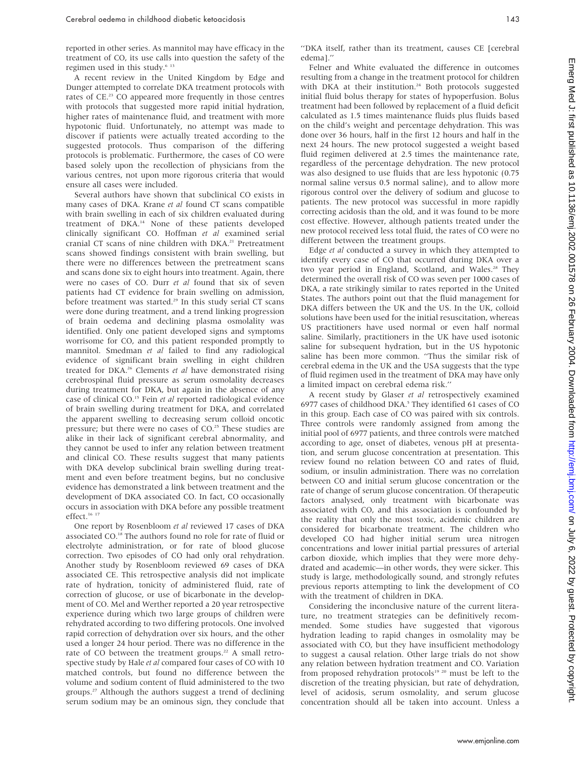reported in other series. As mannitol may have efficacy in the treatment of CO, its use calls into question the safety of the regimen used in this study.<sup>6 13</sup>

A recent review in the United Kingdom by Edge and Dunger attempted to correlate DKA treatment protocols with rates of CE.23 CO appeared more frequently in those centres with protocols that suggested more rapid initial hydration, higher rates of maintenance fluid, and treatment with more hypotonic fluid. Unfortunately, no attempt was made to discover if patients were actually treated according to the suggested protocols. Thus comparison of the differing protocols is problematic. Furthermore, the cases of CO were based solely upon the recollection of physicians from the various centres, not upon more rigorous criteria that would ensure all cases were included.

Several authors have shown that subclinical CO exists in many cases of DKA. Krane et al found CT scans compatible with brain swelling in each of six children evaluated during treatment of DKA.14 None of these patients developed clinically significant CO. Hoffman et al examined serial cranial CT scans of nine children with DKA.<sup>21</sup> Pretreatment scans showed findings consistent with brain swelling, but there were no differences between the pretreatment scans and scans done six to eight hours into treatment. Again, there were no cases of CO. Durr et al found that six of seven patients had CT evidence for brain swelling on admission, before treatment was started.<sup>29</sup> In this study serial CT scans were done during treatment, and a trend linking progression of brain oedema and declining plasma osmolality was identified. Only one patient developed signs and symptoms worrisome for CO, and this patient responded promptly to mannitol. Smedman et al failed to find any radiological evidence of significant brain swelling in eight children treated for DKA.26 Clements et al have demonstrated rising cerebrospinal fluid pressure as serum osmolality decreases during treatment for DKA, but again in the absence of any case of clinical CO.<sup>15</sup> Fein et al reported radiological evidence of brain swelling during treatment for DKA, and correlated the apparent swelling to decreasing serum colloid oncotic pressure; but there were no cases of CO.<sup>25</sup> These studies are alike in their lack of significant cerebral abnormality, and they cannot be used to infer any relation between treatment and clinical CO. These results suggest that many patients with DKA develop subclinical brain swelling during treatment and even before treatment begins, but no conclusive evidence has demonstrated a link between treatment and the development of DKA associated CO. In fact, CO occasionally occurs in association with DKA before any possible treatment effect.<sup>16</sup><sup>17</sup>

One report by Rosenbloom et al reviewed 17 cases of DKA associated CO.18 The authors found no role for rate of fluid or electrolyte administration, or for rate of blood glucose correction. Two episodes of CO had only oral rehydration. Another study by Rosenbloom reviewed 69 cases of DKA associated CE. This retrospective analysis did not implicate rate of hydration, tonicity of administered fluid, rate of correction of glucose, or use of bicarbonate in the development of CO. Mel and Werther reported a 20 year retrospective experience during which two large groups of children were rehydrated according to two differing protocols. One involved rapid correction of dehydration over six hours, and the other used a longer 24 hour period. There was no difference in the rate of CO between the treatment groups.<sup>22</sup> A small retrospective study by Hale et al compared four cases of CO with 10 matched controls, but found no difference between the volume and sodium content of fluid administered to the two groups.27 Although the authors suggest a trend of declining serum sodium may be an ominous sign, they conclude that

''DKA itself, rather than its treatment, causes CE [cerebral edema].''

Felner and White evaluated the difference in outcomes resulting from a change in the treatment protocol for children with DKA at their institution.<sup>24</sup> Both protocols suggested initial fluid bolus therapy for states of hypoperfusion. Bolus treatment had been followed by replacement of a fluid deficit calculated as 1.5 times maintenance fluids plus fluids based on the child's weight and percentage dehydration. This was done over 36 hours, half in the first 12 hours and half in the next 24 hours. The new protocol suggested a weight based fluid regimen delivered at 2.5 times the maintenance rate, regardless of the percentage dehydration. The new protocol was also designed to use fluids that are less hypotonic (0.75 normal saline versus 0.5 normal saline), and to allow more rigorous control over the delivery of sodium and glucose to patients. The new protocol was successful in more rapidly correcting acidosis than the old, and it was found to be more cost effective. However, although patients treated under the new protocol received less total fluid, the rates of CO were no different between the treatment groups.

Edge et al conducted a survey in which they attempted to identify every case of CO that occurred during DKA over a two year period in England, Scotland, and Wales.<sup>28</sup> They determined the overall risk of CO was seven per 1000 cases of DKA, a rate strikingly similar to rates reported in the United States. The authors point out that the fluid management for DKA differs between the UK and the US. In the UK, colloid solutions have been used for the initial resuscitation, whereas US practitioners have used normal or even half normal saline. Similarly, practitioners in the UK have used isotonic saline for subsequent hydration, but in the US hypotonic saline has been more common. ''Thus the similar risk of cerebral edema in the UK and the USA suggests that the type of fluid regimen used in the treatment of DKA may have only a limited impact on cerebral edema risk.''

A recent study by Glaser et al retrospectively examined 6977 cases of childhood DKA.<sup>5</sup> They identified 61 cases of CO in this group. Each case of CO was paired with six controls. Three controls were randomly assigned from among the initial pool of 6977 patients, and three controls were matched according to age, onset of diabetes, venous pH at presentation, and serum glucose concentration at presentation. This review found no relation between CO and rates of fluid, sodium, or insulin administration. There was no correlation between CO and initial serum glucose concentration or the rate of change of serum glucose concentration. Of therapeutic factors analysed, only treatment with bicarbonate was associated with CO, and this association is confounded by the reality that only the most toxic, acidemic children are considered for bicarbonate treatment. The children who developed CO had higher initial serum urea nitrogen concentrations and lower initial partial pressures of arterial carbon dioxide, which implies that they were more dehydrated and academic—in other words, they were sicker. This study is large, methodologically sound, and strongly refutes previous reports attempting to link the development of CO with the treatment of children in DKA.

Considering the inconclusive nature of the current literature, no treatment strategies can be definitively recommended. Some studies have suggested that vigorous hydration leading to rapid changes in osmolality may be associated with CO, but they have insufficient methodology to suggest a causal relation. Other large trials do not show any relation between hydration treatment and CO. Variation from proposed rehydration protocols<sup>19</sup> <sup>20</sup> must be left to the discretion of the treating physician, but rate of dehydration, level of acidosis, serum osmolality, and serum glucose concentration should all be taken into account. Unless a